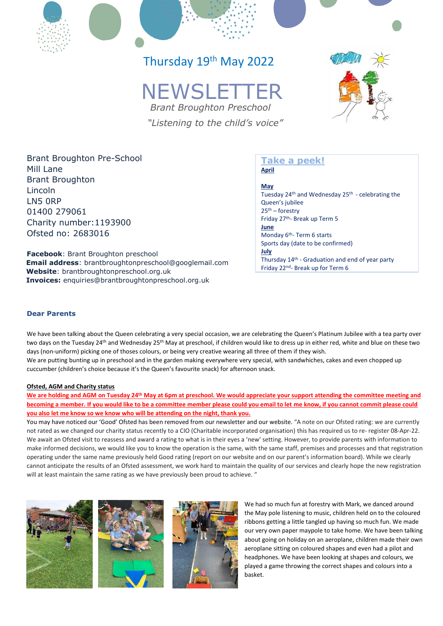# Thursday 19<sup>th</sup> May 2022

# **NEWSLETTER**

 *Brant Broughton Preschool "Listening to the child's voice"*



Brant Broughton Pre-School Mill Lane Brant Broughton Lincoln LN5 0RP 01400 279061 Charity number:1193900 Ofsted no: 2683016

**Facebook**: Brant Broughton preschool **Email address**: brantbroughtonpreschool@googlemail.com **Website**: brantbroughtonpreschool.org.uk **Invoices:** enquiries@brantbroughtonpreschool.org.uk

## **Take a peek! April**

**May** Tuesday 24th and Wednesday 25th - celebrating the Queen's jubilee 25th – forestry Friday 27th- Break up Term 5 **June** Monday 6<sup>th</sup>- Term 6 starts Sports day (date to be confirmed) **July** Thursday 14th - Graduation and end of year party Friday 22<sup>nd</sup>- Break up for Term 6

### **Dear Parents**

We have been talking about the Queen celebrating a very special occasion, we are celebrating the Queen's Platinum Jubilee with a tea party over two days on the Tuesday 24<sup>th</sup> and Wednesday 25<sup>th</sup> May at preschool, if children would like to dress up in either red, white and blue on these two days (non-uniform) picking one of thoses colours, or being very creative wearing all three of them if they wish.

We are putting bunting up in preschool and in the garden making everywhere very special, with sandwhiches, cakes and even chopped up cuccumber (children's choice because it's the Queen's favourite snack) for afternoon snack.

#### **Ofsted, AGM and Charity status**

**We are holding and AGM on Tuesday 24th May at 6pm at preschool. We would appreciate your support attending the committee meeting and becoming a member. If you would like to be a committee member please could you email to let me know, if you cannot commit please could you also let me know so we know who will be attending on the night, thank you.**

You may have noticed our 'Good' Ofsted has been removed from our newsletter and our website. "A note on our Ofsted rating: we are currently not rated as we changed our charity status recently to a CIO (Charitable incorporated organisation) this has required us to re- register 08-Apr-22. We await an Ofsted visit to reassess and award a rating to what is in their eyes a 'new' setting. However, to provide parents with information to make informed decisions, we would like you to know the operation is the same, with the same staff, premises and processes and that registration operating under the same name previously held Good rating (report on our website and on our parent's information board). While we clearly cannot anticipate the results of an Ofsted assessment, we work hard to maintain the quality of our services and clearly hope the new registration will at least maintain the same rating as we have previously been proud to achieve. "







We had so much fun at forestry with Mark, we danced around the May pole listening to music, children held on to the coloured ribbons getting a little tangled up having so much fun. We made our very own paper maypole to take home. We have been talking about going on holiday on an aeroplane, children made their own aeroplane sitting on coloured shapes and even had a pilot and headphones. We have been looking at shapes and colours, we played a game throwing the correct shapes and colours into a basket.